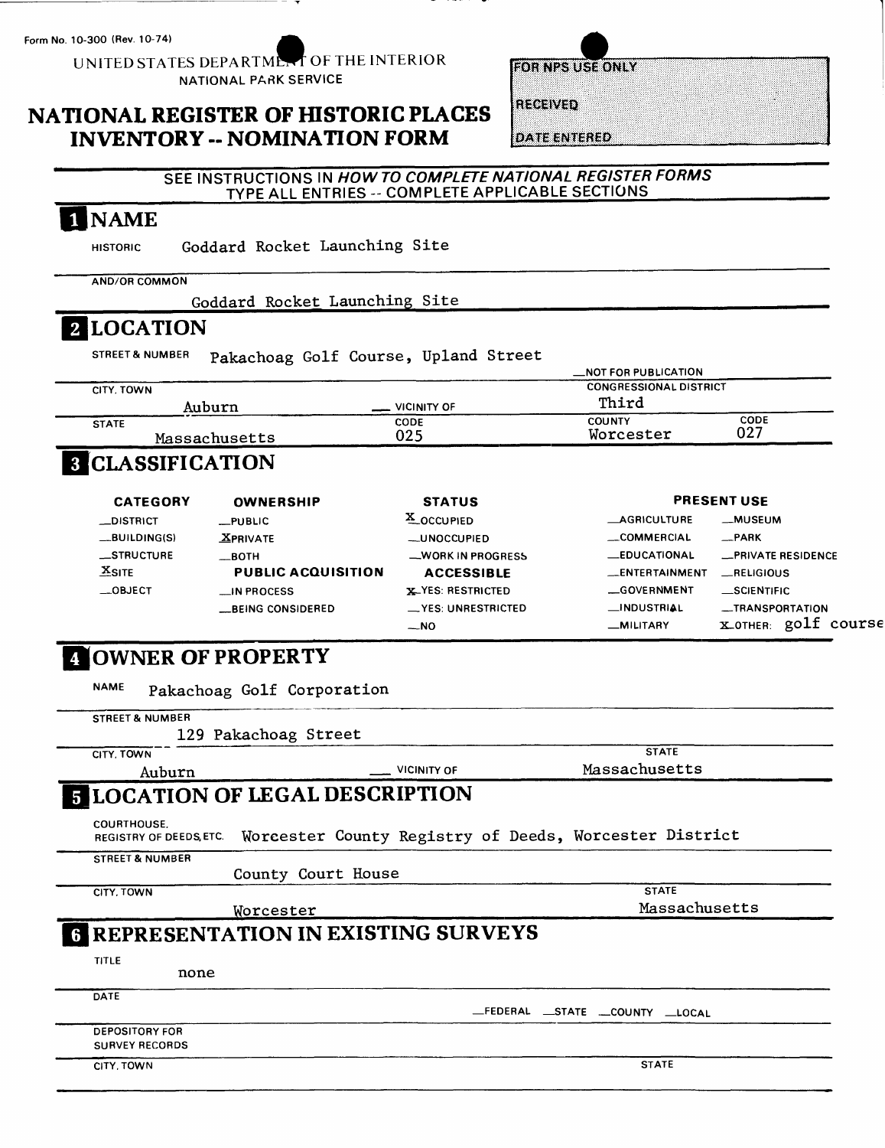**Form No. 10-300 (Rev. 10-74) ^^**

UNITED STATES DEPARTMENT OF THE INTERIOR NATIONAL PARK SERVICE

## **NATIONAL REGISTER OF HISTORIC PLACES INVENTORY -- NOMINATION FORM**

| <b>FOR NPS USE ONLY</b> |  |  |
|-------------------------|--|--|
|                         |  |  |
|                         |  |  |
| RECEIVED                |  |  |

**DATE ENTERED** 

#### **SEE INSTRUCTIONS IN HOW TO COMPLETE NATIONAL REGISTER FORMS**  TYPE ALL ENTRIES -- COMPLETE APPLICABLE SECTIONS

# I NAME

HISTORIC Goddard Rocket Launching Site

**AND/OR COMMON**

Goddard Rocket Launching Site

## **LOCATION**

STREET&NUMBER pakachoag Golf Course, Upland Street

|               |                    | <b>NOT FOR PUBLICATION</b>    |      |
|---------------|--------------------|-------------------------------|------|
| CITY. TOWN    |                    | <b>CONGRESSIONAL DISTRICT</b> |      |
| Auburn        | <b>VICINITY OF</b> | Third                         |      |
| <b>STATE</b>  | <b>CODE</b>        | <b>COUNTY</b>                 | CODE |
| Massachusetts | 025                | Worcester                     | 027  |

## **B** CLASSIFICATION

| <b>CATEGORY</b> | <b>OWNERSHIP</b>                   | <b>STATUS</b>              |                     | <b>PRESENT USE</b>        |
|-----------------|------------------------------------|----------------------------|---------------------|---------------------------|
| _DISTRICT       | $\rule{0.15}{0.15}\nightharpoonup$ | X_OCCUPIED                 | <b>AGRICULTURE</b>  | -MUSEUM                   |
| $-BULDING(S)$   | <b>XPRIVATE</b>                    | <b>_UNOCCUPIED</b>         | _COMMERCIAL         | $R$ PARK                  |
| __STRUCTURE     | —вотн                              | -WORK IN PROGRESS          | <b>LEDUCATIONAL</b> | <b>_PRIVATE RESIDENCE</b> |
| $X$ SITE        | <b>PUBLIC ACQUISITION</b>          | <b>ACCESSIBLE</b>          | _ENTERTAINMENT      | RELIGIOUS                 |
| $\equiv$ OBJECT | $\Box$ IN PROCESS                  | <b>X-YES: RESTRICTED</b>   | <b>_GOVERNMENT</b>  | <b>SCIENTIFIC</b>         |
|                 | <b>BEING CONSIDERED</b>            | $\equiv$ YES: UNRESTRICTED | _INDUSTRIAL         | -TRANSPORTATION           |
|                 |                                    | $-NO$                      | -MILITARY           | golf course<br>XOTHER:    |

# **[OWNER OF PROPERTY**

NAME Pakachoag Golf Corporation

| <b>STREET &amp; NUMBER</b>                          |                                                        |                                   |
|-----------------------------------------------------|--------------------------------------------------------|-----------------------------------|
| 129 Pakachoag Street                                |                                                        |                                   |
| CITY. TOWN                                          |                                                        | <b>STATE</b>                      |
| Auburn                                              | <b>VICINITY OF</b>                                     | Massachusetts                     |
| <b>5 LOCATION OF LEGAL DESCRIPTION</b>              |                                                        |                                   |
| <b>COURTHOUSE.</b><br><b>REGISTRY OF DEEDS ETC.</b> | Worcester County Registry of Deeds, Worcester District |                                   |
| <b>STREET &amp; NUMBER</b>                          |                                                        |                                   |
|                                                     | County Court House                                     |                                   |
| CITY, TOWN                                          |                                                        | <b>STATE</b>                      |
| Worcester                                           |                                                        | Massachusetts                     |
|                                                     | <b>6 REPRESENTATION IN EXISTING SURVEYS</b>            |                                   |
| TITLE                                               |                                                        |                                   |
| none                                                |                                                        |                                   |
| DATE                                                |                                                        |                                   |
|                                                     |                                                        | _FEDERAL __STATE __COUNTY __LOCAL |
| <b>DEPOSITORY FOR</b>                               |                                                        |                                   |
| <b>SURVEY RECORDS</b>                               |                                                        |                                   |
| CITY, TOWN                                          |                                                        | <b>STATE</b>                      |
|                                                     |                                                        |                                   |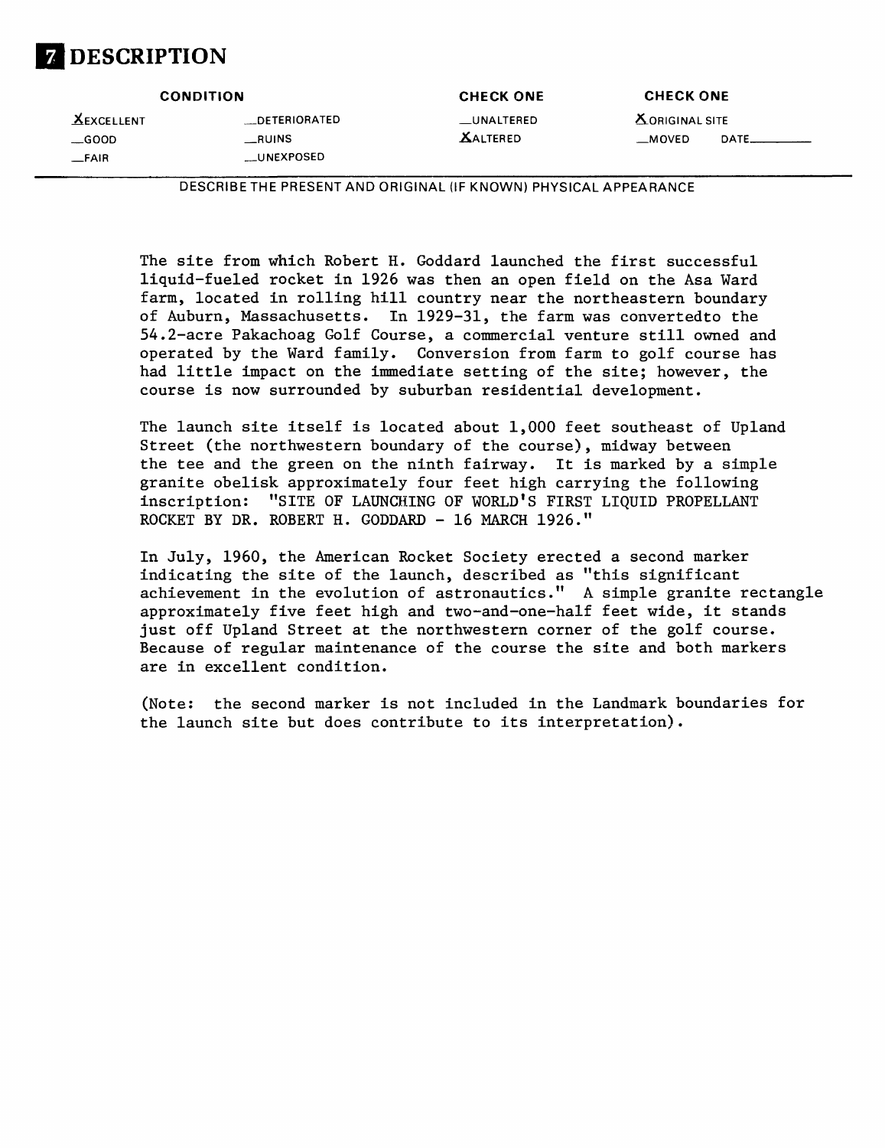

.^.EXCELLENT \_DETERIORATED \_UNALTERED ^.ORIGINAL SITE \_FAIR \_UNEXPOSED

**CONDITION CHECK ONE CHECK ONE**

\_GOOD \_RUINS AALTERED \_MOVED DATE.

DESCRIBETHE PRESENT AND ORIGINAL (IF KNOWN) PHYSICAL APPEARANCE

The site from which Robert H. Goddard launched the first successful liquid-fueled rocket in 1926 was then an open field on the Asa Ward farm, located in rolling hill country near the northeastern boundary of Auburn, Massachusetts. In 1929-31, the farm was convertedto the 54.2-acre Pakachoag Golf Course, a commercial venture still owned and operated by the Ward family. Conversion from farm to golf course has had little impact on the immediate setting of the site; however, the course is now surrounded by suburban residential development.

The launch site itself is located about 1,000 feet southeast of Upland Street (the northwestern boundary of the course), midway between the tee and the green on the ninth fairway. It is marked by a simple granite obelisk approximately four feet high carrying the following inscription: "SITE OF LAUNCHING OF WORLD'S FIRST LIQUID PROPELLANT ROCKET BY DR. ROBERT H. GODDARD - 16 MARCH 1926."

In July, 1960, the American Rocket Society erected a second marker indicating the site of the launch, described as "this significant achievement in the evolution of astronautics." A simple granite rectangle approximately five feet high and two-and-one-half feet wide, it stands just off Upland Street at the northwestern corner of the golf course. Because of regular maintenance of the course the site and both markers are in excellent condition.

(Note: the second marker is not included in the Landmark boundaries for the launch site but does contribute to its interpretation).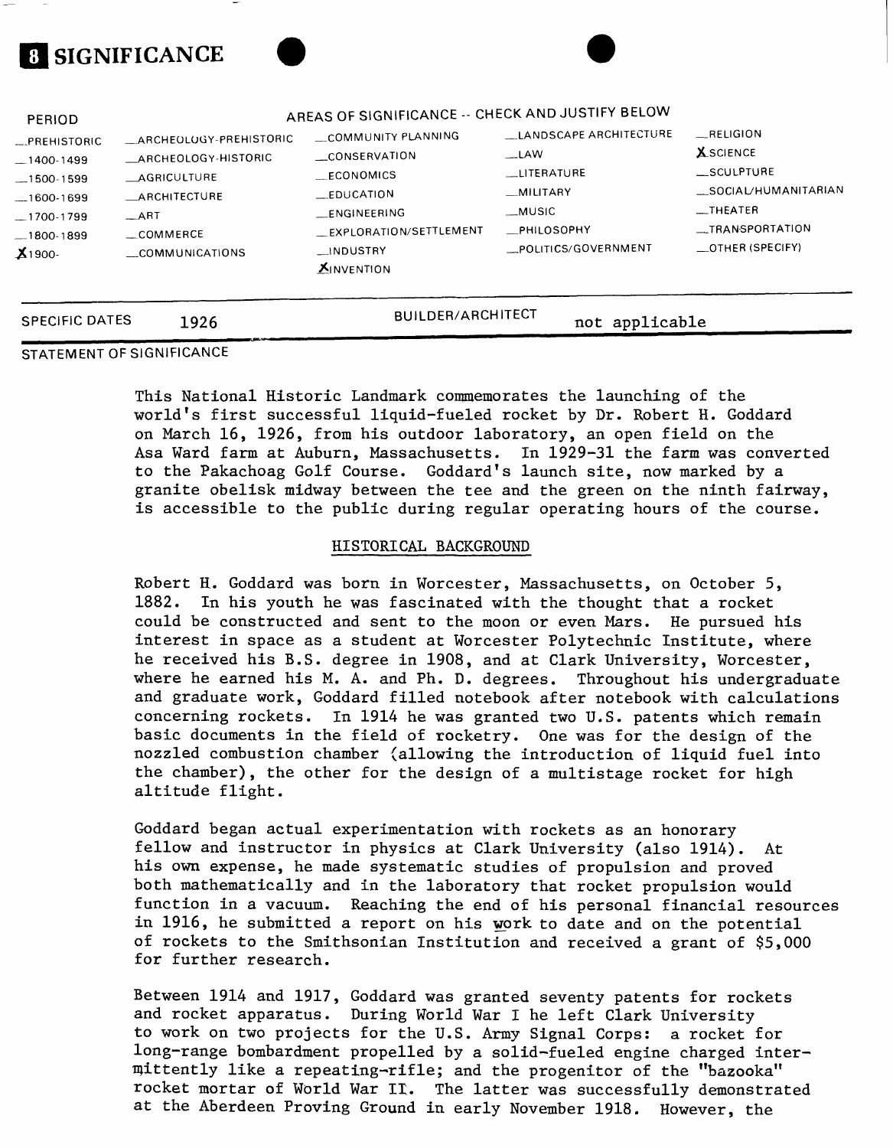# **8 SIGNIFICANCE**



| <b>SPECIFIC DATES</b>                                                                     | 1926                                                                                                       | <b>BUILDER/ARCHITECT</b>                                                                                          | not applicable                                                                                           |                                                                                                  |
|-------------------------------------------------------------------------------------------|------------------------------------------------------------------------------------------------------------|-------------------------------------------------------------------------------------------------------------------|----------------------------------------------------------------------------------------------------------|--------------------------------------------------------------------------------------------------|
| $-1400-1499$<br>$-1500-1599$<br>$-1600-1699$<br>$-1700-1799$<br>$-1800-1899$<br>$X1900 -$ | ARCHEOLOGY-HISTORIC<br><b>AGRICULTURE</b><br>ARCHITECTURE<br>$-ART$<br>$\equiv$ COMMERCE<br>COMMUNICATIONS | CONSERVATION<br>ECONOMICS<br>_EDUCATION<br>ENGINEERING<br>EXPLORATION/SETTLEMENT<br>INDUSTRY<br><b>XINVENTION</b> | $\overline{\phantom{a}}$ LAW<br>LITERATURE<br>_MILITARY<br>__MUSIC<br>_PHILOSOPHY<br>POLITICS/GOVERNMENT | $=$ SCULPTURE<br>_SOCIAL/HUMANITARIAN<br>$\equiv$ THEATER<br>_TRANSPORTATION<br>_OTHER (SPECIFY) |
| PERIOD<br><b>PREHISTORIC</b>                                                              | ARCHEOLOGY-PREHISTORIC                                                                                     | AREAS OF SIGNIFICANCE -- CHECK AND JUSTIFY BELOW<br>COMMUNITY PLANNING                                            | LANDSCAPE ARCHITECTURE                                                                                   | <b>RELIGION</b><br><b>X</b> SCIENCE                                                              |

### SPECIFIC DATES 1926

#### STATEMENT OF SIGNIFICANCE

This National Historic Landmark commemorates the launching of the world's first successful liquid-fueled rocket by Dr. Robert H. Goddard on March 16, 1926, from his outdoor laboratory, an open field on the Asa Ward farm at Auburn, Massachusetts. In 1929-31 the farm was converted to the Pakachoag Golf Course. Goddard's launch site, now marked by a granite obelisk midway between the tee and the green on the ninth fairway, is accessible to the public during regular operating hours of the course.

#### HISTORICAL BACKGROUND

Robert H. Goddard was born in Worcester, Massachusetts, on October 5, 1882. In his youth he was fascinated with the thought that a rocket could be constructed and sent to the moon or even Mars. He pursued his interest in space as a student at Worcester Polytechnic Institute, where he received his B.S. degree in 1908, and at Clark University, Worcester, where he earned his M. A. and Ph. D. degrees. Throughout his undergraduate and graduate work, Goddard filled notebook after notebook with calculations concerning rockets. In 1914 he was granted two U.S. patents which remain basic documents in the field of rocketry. One was for the design of the nozzled combustion chamber (allowing the introduction of liquid fuel into the chamber), the other for the design of a multistage rocket for high altitude flight.

Goddard began actual experimentation with rockets as an honorary fellow and instructor in physics at Clark University (also 1914). At his own expense, he made systematic studies of propulsion and proved both mathematically and in the laboratory that rocket propulsion would function in a vacuum. Reaching the end of his personal financial resources in 1916, he submitted a report on his work to date and on the potential of rockets to the Smithsonian Institution and received a grant of \$5,000 for further research.

Between 1914 and 1917, Goddard was granted seventy patents for rockets and rocket apparatus. During World War I he left Clark University to work on two projects for the U.S. Army Signal Corps: a rocket for long-range bombardment propelled by a solid-fueled engine charged intermittently like a repeating-rifle; and the progenitor of the "bazooka" rocket mortar of World War II. The latter was successfully demonstrated at the Aberdeen Proving Ground in early November 1918. However, the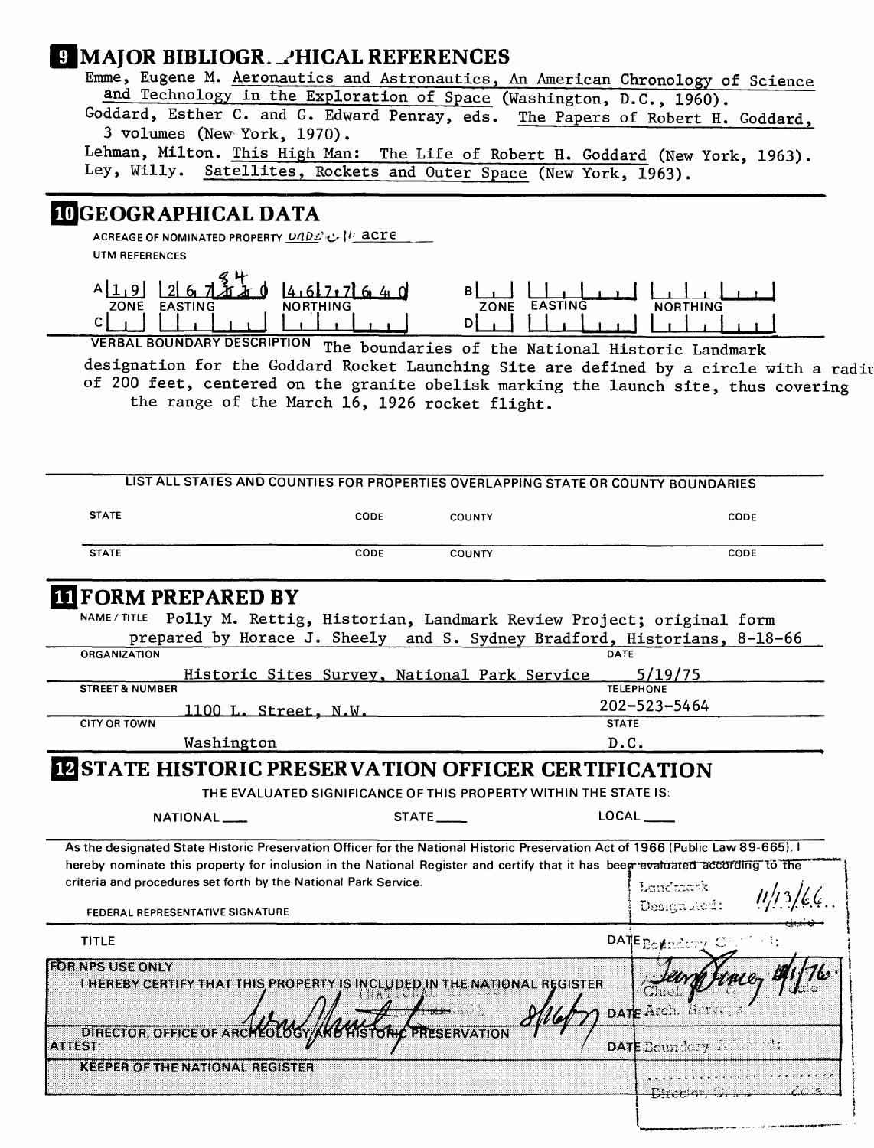## **Q MAJOR BIBLIOGR. PHICAL REFERENCES**

Emme, Eugene M. Aeronautics and Astronautics, An American Chronology of Science and Technology in the Exploration of Space (Washington, B.C., 1960).

Goddard, Esther C. and G. Edward Penray, eds. The Papers of Robert H. Goddard, 3 volumes (New York, 1970).

Lehman, Milton. This High Man: The Life of Robert H. Goddard (New York, 1963).<br>Ley, Willy. Satellites, Rockets and Outer Space (New York, 1963). Satellites, Rockets and Outer Space (New York, 1963).

## **3GEOGRAPHICAL DATA**

**ACREAGE OF NOMINATED PROPERTY U/?p.£'x> \i UTM REFERENCES**



VERBAL BOUNDARY DESCRIPTION The boundaries of the Natlonai Historic Landmark designation for the Goddard Rocket Launching Site are defined by a circle with a radiu of 200 feet, centered on the granite obelisk marking the launch site, thus covering the range of the March 16, 1926 rocket flight.

|                                                                                                                                                                                                                                                                                                                                                               |                                              |                        | LIST ALL STATES AND COUNTIES FOR PROPERTIES OVERLAPPING STATE OR COUNTY BOUNDARIES |      |
|---------------------------------------------------------------------------------------------------------------------------------------------------------------------------------------------------------------------------------------------------------------------------------------------------------------------------------------------------------------|----------------------------------------------|------------------------|------------------------------------------------------------------------------------|------|
| <b>STATE</b>                                                                                                                                                                                                                                                                                                                                                  | CODE                                         | <b>COUNTY</b>          |                                                                                    | CODE |
| <b>STATE</b>                                                                                                                                                                                                                                                                                                                                                  | CODE                                         | <b>COUNTY</b>          |                                                                                    | CODE |
| <b>II FORM PREPARED BY</b><br><b>NAME / TITLE</b>                                                                                                                                                                                                                                                                                                             |                                              |                        | Polly M. Rettig, Historian, Landmark Review Project; original form                 |      |
|                                                                                                                                                                                                                                                                                                                                                               |                                              |                        | prepared by Horace J. Sheely and S. Sydney Bradford, Historians, 8-18-66           |      |
| <b>ORGANIZATION</b><br><b>STREET &amp; NUMBER</b>                                                                                                                                                                                                                                                                                                             | Historic Sites Survey, National Park Service |                        | 5/19/75<br><b>TELEPHONE</b>                                                        |      |
| 1100 L. Street, N.W.                                                                                                                                                                                                                                                                                                                                          |                                              |                        | 202-523-5464                                                                       |      |
| <b>CITY OR TOWN</b><br>Washington                                                                                                                                                                                                                                                                                                                             |                                              |                        | <b>STATE</b><br>D.C.                                                               |      |
| NATIONAL <sub>___</sub><br>As the designated State Historic Preservation Officer for the National Historic Preservation Act of 1966 (Public Law 89-665). I<br>hereby nominate this property for inclusion in the National Register and certify that it has been evaluated according to the<br>criteria and procedures set forth by the National Park Service. |                                              | STATE                  | LOCAL<br>Landmark                                                                  |      |
| FEDERAL REPRESENTATIVE SIGNATURE                                                                                                                                                                                                                                                                                                                              |                                              |                        | Designated:                                                                        |      |
| <b>TITLE</b>                                                                                                                                                                                                                                                                                                                                                  |                                              |                        | DATE Boundary Con                                                                  |      |
| <b>FOR NPS USE ONLY</b><br>THEREBY CERTIFY THAT THIS PROPERTY IS INCLUDED IN THE NATIONAL REGISTER                                                                                                                                                                                                                                                            |                                              |                        | DATE Arch. Harve                                                                   |      |
|                                                                                                                                                                                                                                                                                                                                                               |                                              |                        |                                                                                    |      |
| <b>DIRECTOR, OFFICE OF ARC</b><br><b>ATTEST:</b>                                                                                                                                                                                                                                                                                                              | KOLOGYAKE                                    | <b>LA PRESERVATION</b> | DATE $\text{Born}$ $\text{Cay}$ $\lambda$ $\lambda$                                |      |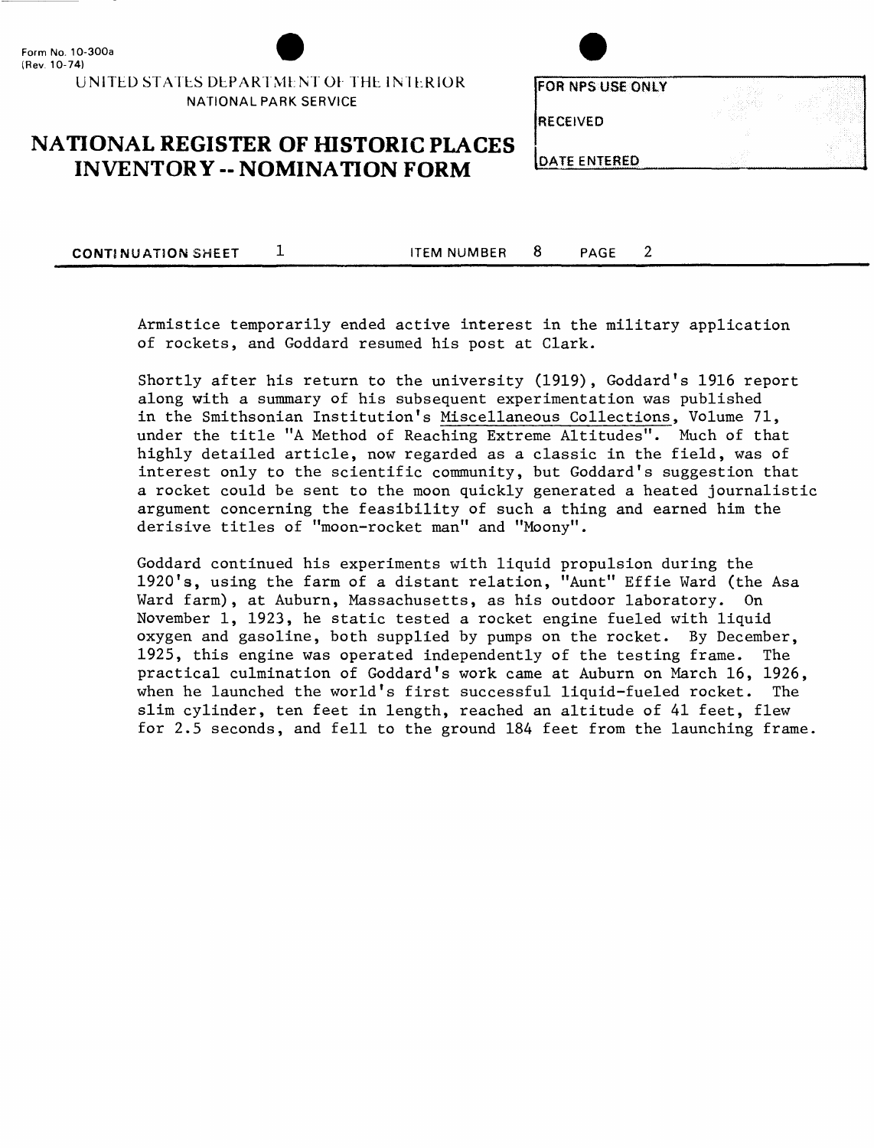UNITED STATES DEPARTMENT OF THE INTERIOR NATIONAL PARK SERVICE

| OR NPS USE ONLY | <b>START</b><br>ALC: U | <b>STAR</b><br>All A<br><b>COLLEGE</b> |
|-----------------|------------------------|----------------------------------------|
| RECEIVED        |                        | 80                                     |
|                 |                        | $\sim$                                 |

## **NATIONAL REGISTER OF HISTORIC PLACES INVENTORY - NOMINATION FORM**

**DATE ENTERED** 

**CONTINUATION SHEET** 1 **ITEM NUMBER** 8 **PAGE** 

 $\overline{2}$ 

Armistice temporarily ended active interest in the military application of rockets, and Goddard resumed his post at Clark.

Shortly after his return to the university (1919), Goddard's 1916 report along with a summary of his subsequent experimentation was published in the Smithsonian Institution's Miscellaneous Collections, Volume 71, under the title "A Method of Reaching Extreme Altitudes". Much of that highly detailed article, now regarded as a classic in the field, was of interest only to the scientific community, but Goddard's suggestion that a rocket could be sent to the moon quickly generated a heated journalistic argument concerning the feasibility of such a thing and earned him the derisive titles of "moon-rocket man" and "Moony".

Goddard continued his experiments with liquid propulsion during the 1920's, using the farm of a distant relation, "Aunt" Effie Ward (the Asa Ward farm), at Auburn, Massachusetts, as his outdoor laboratory. On November 1, 1923, he static tested a rocket engine fueled with liquid oxygen and gasoline, both supplied by pumps on the rocket. By December, 1925, this engine was operated independently of the testing frame. The practical culmination of Goddard's work came at Auburn on March 16, 1926, when he launched the world's first successful liquid-fueled rocket. The slim cylinder, ten feet in length, reached an altitude of 41 feet, flew for 2.5 seconds, and fell to the ground 184 feet from the launching frame.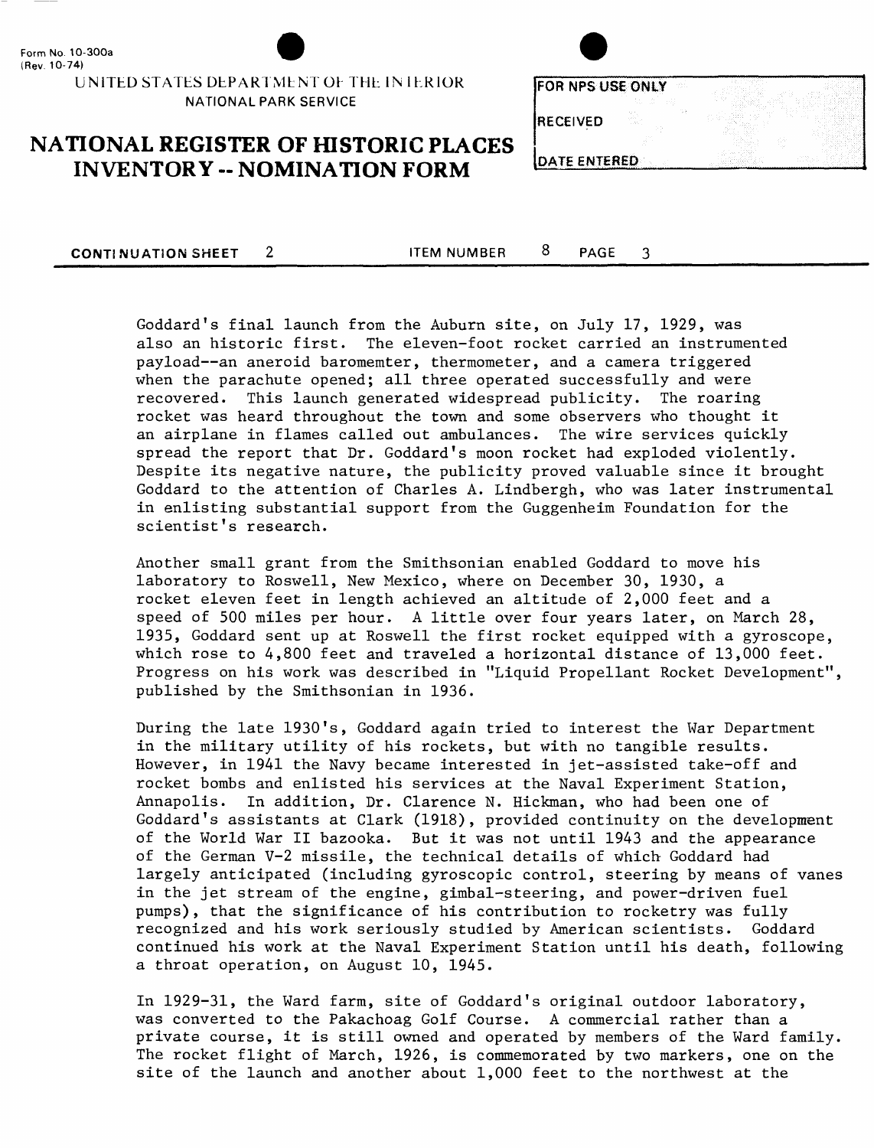#### UNITED STATES DEPARTMENT OF THE IN IERIOR NATIONAL PARK SERVICE

| FOR NPS USE ONLY    | vär. |  |
|---------------------|------|--|
| ŵ                   |      |  |
| <b>RECEIVED</b>     |      |  |
|                     |      |  |
| <b>DATE ENTERED</b> |      |  |

## **NATIONAL REGISTER OF HISTORIC PLACES INVENTORY - NOMINATION FORM**

**CONTINUATION SHEET** 2 ITEM NUMBER 8 PAGE

3

Goddard's final launch from the Auburn site, on July 17, 1929, was also an historic first. The eleven-foot rocket carried an instrumented payload--an aneroid baromemter, thermometer, and a camera triggered when the parachute opened; all three operated successfully and were recovered. This launch generated widespread publicity. The roaring rocket was heard throughout the town and some observers who thought it an airplane in flames called out ambulances. The wire services quickly spread the report that Dr. Goddard's moon rocket had exploded violently. Despite its negative nature, the publicity proved valuable since it brought Goddard to the attention of Charles A. Lindbergh, who was later instrumental in enlisting substantial support from the Guggenheim Foundation for the scientist's research.

Another small grant from the Smithsonian enabled Goddard to move his laboratory to Roswell, New Mexico, where on December 30, 1930, a rocket eleven feet in length achieved an altitude of 2,000 feet and a speed of 500 miles per hour. A little over four years later, on March 28, 1935, Goddard sent up at Roswell the first rocket equipped with a gyroscope, which rose to 4,800 feet and traveled a horizontal distance of 13,000 feet. Progress on his work was described in "Liquid Propellant Rocket Development", published by the Smithsonian in 1936.

During the late 1930's, Goddard again tried to interest the War Department in the military utility of his rockets, but with no tangible results. However, in 1941 the Navy became interested in jet-assisted take-off and rocket bombs and enlisted his services at the Naval Experiment Station, Annapolis. In addition, Dr. Clarence N. Hickman, who had been one of Goddard's assistants at Clark (1918), provided continuity on the development of the World War II bazooka. But it was not until 1943 and the appearance of the German V-2 missile, the technical details of which Goddard had largely anticipated (including gyroscopic control, steering by means of vanes in the jet stream of the engine, gimbal-steering, and power-driven fuel pumps), that the significance of his contribution to rocketry was fully recognized and his work seriously studied by American scientists. Goddard continued his work at the Naval Experiment Station until his death, following a throat operation, on August 10, 1945.

In 1929-31, the Ward farm, site of Goddard's original outdoor laboratory, was converted to the Pakachoag Golf Course. A commercial rather than a private course, it is still owned and operated by members of the Ward family. The rocket flight of March, 1926, is commemorated by two markers, one on the site of the launch and another about 1,000 feet to the northwest at the